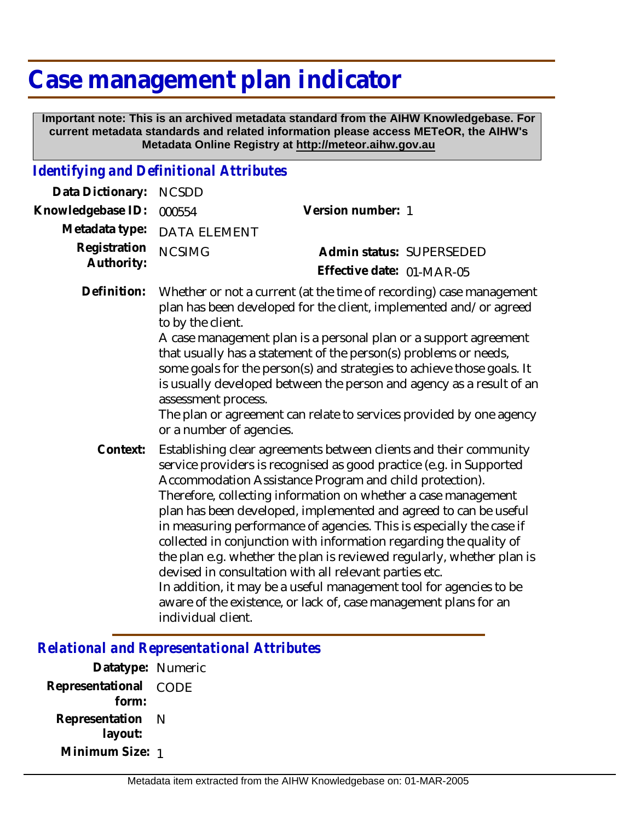## **Case management plan indicator**

 **Important note: This is an archived metadata standard from the AIHW Knowledgebase. For current metadata standards and related information please access METeOR, the AIHW's Metadata Online Registry at http://meteor.aihw.gov.au**

## *Identifying and Definitional Attributes*

| Data Dictionary:           | <b>NCSDD</b>                                                                                                                                                                                                                                                                                                                                                                                                                                                                                                                                                                                                                                                                                                                                                                               |                                                       |
|----------------------------|--------------------------------------------------------------------------------------------------------------------------------------------------------------------------------------------------------------------------------------------------------------------------------------------------------------------------------------------------------------------------------------------------------------------------------------------------------------------------------------------------------------------------------------------------------------------------------------------------------------------------------------------------------------------------------------------------------------------------------------------------------------------------------------------|-------------------------------------------------------|
| Knowledgebase ID:          | 000554                                                                                                                                                                                                                                                                                                                                                                                                                                                                                                                                                                                                                                                                                                                                                                                     | Version number: 1                                     |
| Metadata type:             | <b>DATA ELEMENT</b>                                                                                                                                                                                                                                                                                                                                                                                                                                                                                                                                                                                                                                                                                                                                                                        |                                                       |
| Registration<br>Authority: | <b>NCSIMG</b>                                                                                                                                                                                                                                                                                                                                                                                                                                                                                                                                                                                                                                                                                                                                                                              | Admin status: SUPERSEDED<br>Effective date: 01-MAR-05 |
| Definition:                | Whether or not a current (at the time of recording) case management<br>plan has been developed for the client, implemented and/or agreed<br>to by the client.<br>A case management plan is a personal plan or a support agreement<br>that usually has a statement of the person(s) problems or needs,<br>some goals for the person(s) and strategies to achieve those goals. It<br>is usually developed between the person and agency as a result of an<br>assessment process.<br>The plan or agreement can relate to services provided by one agency<br>or a number of agencies.                                                                                                                                                                                                          |                                                       |
| Context:                   | Establishing clear agreements between clients and their community<br>service providers is recognised as good practice (e.g. in Supported<br>Accommodation Assistance Program and child protection).<br>Therefore, collecting information on whether a case management<br>plan has been developed, implemented and agreed to can be useful<br>in measuring performance of agencies. This is especially the case if<br>collected in conjunction with information regarding the quality of<br>the plan e.g. whether the plan is reviewed regularly, whether plan is<br>devised in consultation with all relevant parties etc.<br>In addition, it may be a useful management tool for agencies to be<br>aware of the existence, or lack of, case management plans for an<br>individual client. |                                                       |

*Relational and Representational Attributes*

**Datatype:** Numeric **Representational** CODE  **form: Representation** N  **layout: Minimum Size:** 1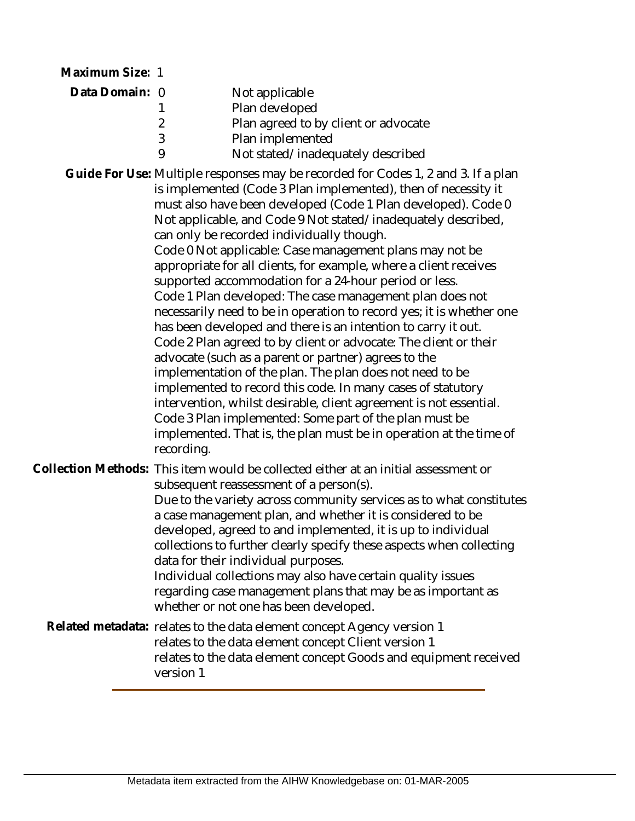| Maximum Size: 1 |                               |                                                                                                                                                                                                                                                                                                                                                                                                                                                                                                                                                                                                                                                                                                                                                                                                                                                                                                                                                                                                                                                                                                                                                                                               |
|-----------------|-------------------------------|-----------------------------------------------------------------------------------------------------------------------------------------------------------------------------------------------------------------------------------------------------------------------------------------------------------------------------------------------------------------------------------------------------------------------------------------------------------------------------------------------------------------------------------------------------------------------------------------------------------------------------------------------------------------------------------------------------------------------------------------------------------------------------------------------------------------------------------------------------------------------------------------------------------------------------------------------------------------------------------------------------------------------------------------------------------------------------------------------------------------------------------------------------------------------------------------------|
| Data Domain: 0  | 1<br>$\overline{2}$<br>3<br>9 | Not applicable<br>Plan developed<br>Plan agreed to by client or advocate<br>Plan implemented<br>Not stated/inadequately described                                                                                                                                                                                                                                                                                                                                                                                                                                                                                                                                                                                                                                                                                                                                                                                                                                                                                                                                                                                                                                                             |
|                 | recording.                    | Guide For Use: Multiple responses may be recorded for Codes 1, 2 and 3. If a plan<br>is implemented (Code 3 Plan implemented), then of necessity it<br>must also have been developed (Code 1 Plan developed). Code 0<br>Not applicable, and Code 9 Not stated/inadequately described,<br>can only be recorded individually though.<br>Code 0 Not applicable: Case management plans may not be<br>appropriate for all clients, for example, where a client receives<br>supported accommodation for a 24-hour period or less.<br>Code 1 Plan developed: The case management plan does not<br>necessarily need to be in operation to record yes; it is whether one<br>has been developed and there is an intention to carry it out.<br>Code 2 Plan agreed to by client or advocate: The client or their<br>advocate (such as a parent or partner) agrees to the<br>implementation of the plan. The plan does not need to be<br>implemented to record this code. In many cases of statutory<br>intervention, whilst desirable, client agreement is not essential.<br>Code 3 Plan implemented: Some part of the plan must be<br>implemented. That is, the plan must be in operation at the time of |
|                 |                               | Collection Methods: This item would be collected either at an initial assessment or<br>subsequent reassessment of a person(s).<br>Due to the variety across community services as to what constitutes<br>a case management plan, and whether it is considered to be<br>developed, agreed to and implemented, it is up to individual<br>collections to further clearly specify these aspects when collecting<br>data for their individual purposes.<br>Individual collections may also have certain quality issues<br>regarding case management plans that may be as important as<br>whether or not one has been developed.                                                                                                                                                                                                                                                                                                                                                                                                                                                                                                                                                                    |

Related metadata: relates to the data element concept Agency version 1 relates to the data element concept Client version 1 relates to the data element concept Goods and equipment received version 1